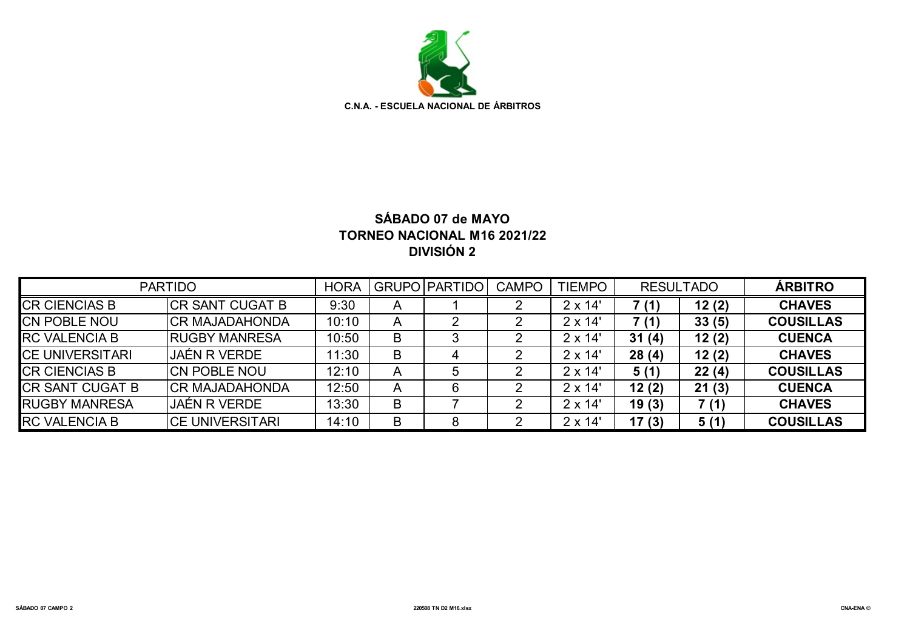

# **SÁBADO 07 de MAYO TORNEO NACIONAL M16 2021/22 DIVISIÓN 2**

| <b>PARTIDO</b>          |                         |       |              | GRUPO PARTIDO | <b>CAMPO</b> | <b>TIEMPO</b>  | <b>RESULTADO</b> |       | <b>ÁRBITRO</b>   |
|-------------------------|-------------------------|-------|--------------|---------------|--------------|----------------|------------------|-------|------------------|
| <b>CR CIENCIAS B</b>    | ICR SANT CUGAT B        | 9:30  | $\mathsf{A}$ |               |              | $2 \times 14'$ | 7 (1)            | 12(2) | <b>CHAVES</b>    |
| <b>CN POBLE NOU</b>     | <b>CR MAJADAHONDA</b>   | 10:10 | A            |               |              | $2 \times 14'$ | 7 (1)            | 33(5) | <b>COUSILLAS</b> |
| <b>IRC VALENCIA B</b>   | <b>IRUGBY MANRESA</b>   | 10:50 | B            |               |              | $2 \times 14'$ | 31(4)            | 12(2) | <b>CUENCA</b>    |
| <b>ICE UNIVERSITARI</b> | JAÉN R VERDE            | 11:30 | B            | 4             |              | $2 \times 14'$ | 28(4)            | 12(2) | <b>CHAVES</b>    |
| <b>CR CIENCIAS B</b>    | ICN POBLE NOU           | 12:10 | A            |               |              | $2 \times 14'$ | 5(1)             | 22(4) | <b>COUSILLAS</b> |
| <b>CR SANT CUGAT B</b>  | ICR MAJADAHONDA         | 12:50 | A            |               |              | $2 \times 14'$ | 12(2)            | 21(3) | <b>CUENCA</b>    |
| <b>RUGBY MANRESA</b>    | JAÉN R VERDE            | 13:30 | B            |               |              | $2 \times 14'$ | 19(3)            | 7 (1) | <b>CHAVES</b>    |
| <b>RC VALENCIA B</b>    | <b>ICE UNIVERSITARI</b> | 14:10 | B            | 8             |              | $2 \times 14'$ | 17(3)            | 5(1)  | <b>COUSILLAS</b> |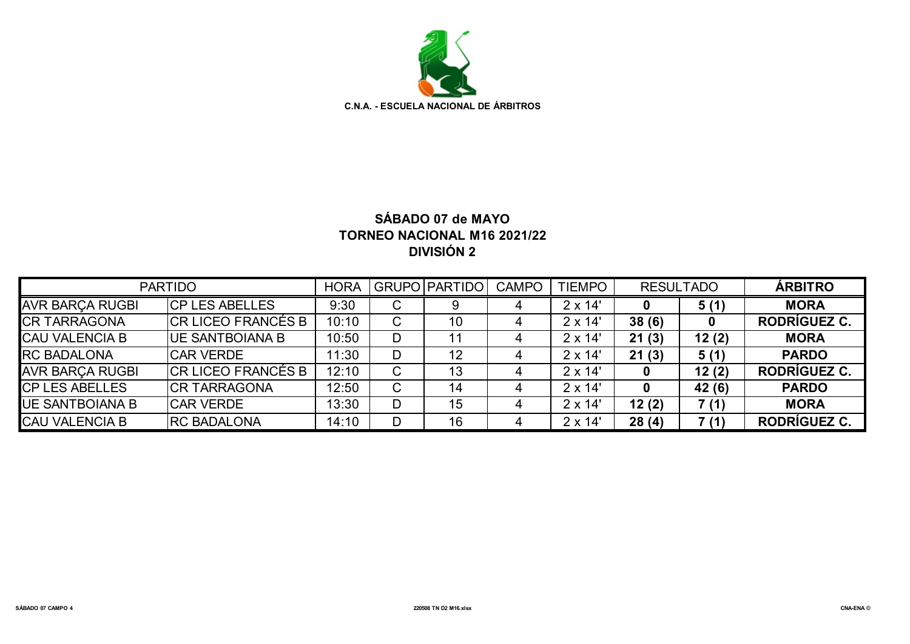

# **SÁBADO 07 de MAYO TORNEO NACIONAL M16 2021/22 DIVISIÓN 2**

| <b>PARTIDO</b><br><b>HORA</b> |                            |       |   | <b>GRUPO PARTIDO</b> | <b>CAMPO</b> | <b>TIEMPO</b>  | <b>RESULTADO</b> |        | <b>ÁRBITRO</b>      |
|-------------------------------|----------------------------|-------|---|----------------------|--------------|----------------|------------------|--------|---------------------|
| <b>AVR BARÇA RUGBI</b>        | ICP LES ABELLES            | 9:30  | C |                      |              | $2 \times 14'$ |                  | 5(1)   | <b>MORA</b>         |
| <b>CR TARRAGONA</b>           | <b>CR LICEO FRANCÉS B</b>  | 10:10 | C | 10                   |              | $2 \times 14'$ | 38(6)            |        | RODRÍGUEZ C.        |
| <b>CAU VALENCIA B</b>         | <b>IUE SANTBOIANA B</b>    | 10:50 | D | 11                   |              | $2 \times 14'$ | 21(3)            | 12(2)  | <b>MORA</b>         |
| <b>RC BADALONA</b>            | <b>CAR VERDE</b>           | 11:30 | D | 12                   |              | $2 \times 14'$ | 21(3)            | 5(1)   | <b>PARDO</b>        |
| <b>AVR BARÇA RUGBI</b>        | <b>ICR LICEO FRANCÉS B</b> | 12:10 | C | 13                   |              | $2 \times 14'$ |                  | 12(2)  | RODRÍGUEZ C.        |
| <b>CP LES ABELLES</b>         | <b>CR TARRAGONA</b>        | 12:50 | C | 14                   |              | $2 \times 14'$ |                  | 42 (6) | <b>PARDO</b>        |
| <b>IUE SANTBOIANA B</b>       | <b>CAR VERDE</b>           | 13:30 | D | 15                   |              | $2 \times 14'$ | 12(2)            | 7(1)   | <b>MORA</b>         |
| <b>CAU VALENCIA B</b>         | <b>RC BADALONA</b>         | 14:10 | D | 16                   |              | $2 \times 14'$ | 28(4)            | 7(1)   | <b>RODRÍGUEZ C.</b> |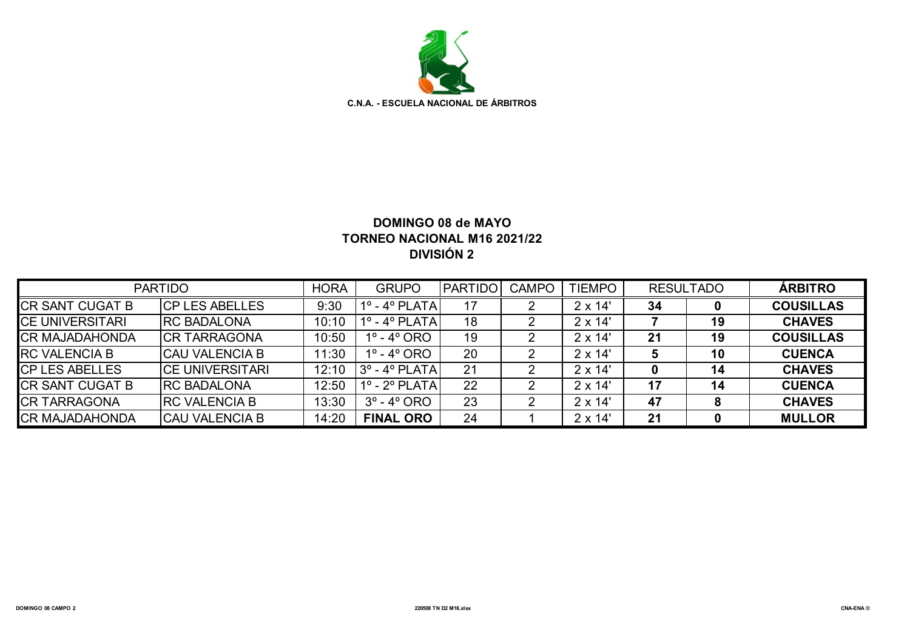

## **DOMINGO 08 de MAYO TORNEO NACIONAL M16 2021/22 DIVISIÓN 2**

| <b>PARTIDO</b>         |                         |       | <b>GRUPO</b>                  | <b>PARTIDO</b> | <b>CAMPO</b> | <b>TIEMPO</b>  | <b>RESULTADO</b> |    | <b>ÁRBITRO</b>   |
|------------------------|-------------------------|-------|-------------------------------|----------------|--------------|----------------|------------------|----|------------------|
| <b>CR SANT CUGAT B</b> | <b>ICP LES ABELLES</b>  | 9:30  | $1^\circ$ - $4^\circ$ PLATA   | 17             |              | $2 \times 14'$ | 34               |    | <b>COUSILLAS</b> |
| <b>CE UNIVERSITARI</b> | <b>IRC BADALONA</b>     | 10:10 | $1^\circ$ - $4^\circ$ PLATA   | 18             |              | $2 \times 14'$ |                  | 19 | <b>CHAVES</b>    |
| <b>CR MAJADAHONDA</b>  | ICR TARRAGONA           | 10:50 | $1^{\circ}$ - $4^{\circ}$ ORO | 19             |              | $2 \times 14'$ | 21               | 19 | <b>COUSILLAS</b> |
| <b>RC VALENCIA B</b>   | ICAU VALENCIA B         | 11:30 | $1^{\circ}$ - $4^{\circ}$ ORO | 20             |              | $2 \times 14'$ |                  | 10 | <b>CUENCA</b>    |
| <b>CP LES ABELLES</b>  | <b>ICE UNIVERSITARI</b> | 12:10 | 3º - 4º PLATA                 | 21             |              | $2 \times 14'$ | 0                | 14 | <b>CHAVES</b>    |
| <b>CR SANT CUGAT B</b> | <b>IRC BADALONA</b>     | 12:50 | 1º - 2º PLATA                 | 22             |              | $2 \times 14'$ | 17               | 14 | <b>CUENCA</b>    |
| <b>CR TARRAGONA</b>    | <b>IRC VALENCIA B</b>   | 13:30 | $3^\circ$ - 4 $^\circ$ ORO    | 23             |              | $2 \times 14'$ | 47               | 8  | <b>CHAVES</b>    |
| <b>CR MAJADAHONDA</b>  | ICAU VALENCIA B         | 14:20 | <b>FINAL ORO</b>              | 24             |              | $2 \times 14'$ | 21               |    | <b>MULLOR</b>    |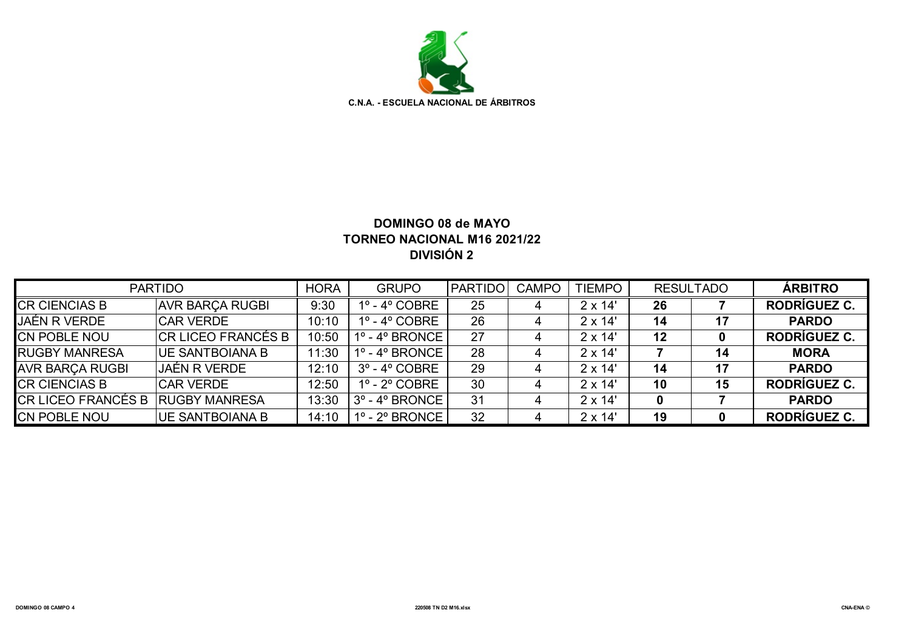

### **DOMINGO 08 de MAYO TORNEO NACIONAL M16 2021/22 DIVISIÓN 2**

| <b>PARTIDO</b>            |                         | <b>HORA</b> | <b>GRUPO</b>                        | <b>IPARTIDO</b> | <b>CAMPO</b> | <b>TIEMPO</b>  | <b>RESULTADO</b> |    | <b>ÁRBITRO</b> |
|---------------------------|-------------------------|-------------|-------------------------------------|-----------------|--------------|----------------|------------------|----|----------------|
| <b>CR CIENCIAS B</b>      | <b>AVR BARCA RUGBI</b>  | 9:30        | $1^\circ$ - $4^\circ$ COBRE         | 25              |              | $2 \times 14'$ | 26               |    | RODRÍGUEZ C.   |
| <b>JAÉN R VERDE</b>       | <b>CAR VERDE</b>        | 10:10       | $1^\circ$ - $4^\circ$ COBRE         | 26              |              | $2 \times 14'$ | 14               | 17 | <b>PARDO</b>   |
| <b>ICN POBLE NOU</b>      | ICR LICEO FRANCÉS B     | 10:50       | $1^\circ$ - $4^\circ$ BRONCE        | 27              |              | $2 \times 14'$ | 12               | 0  | RODRÍGUEZ C.   |
| <b>RUGBY MANRESA</b>      | IUE SANTBOIANA B        | 11:30       | $1^\circ$ - $4^\circ$ BRONCE        | 28              |              | $2 \times 14'$ |                  | 14 | <b>MORA</b>    |
| <b>AVR BARCA RUGBI</b>    | <b>JAÉN R VERDE</b>     | 12:10       | $3^{\circ}$ - 4 $^{\circ}$ COBRE    | 29              |              | $2 \times 14'$ | 14               | 17 | <b>PARDO</b>   |
| <b>CR CIENCIAS B</b>      | <b>CAR VERDE</b>        | 12:50       | $1^\circ$ - $2^\circ$ COBRE         | 30              |              | $2 \times 14'$ | 10               | 15 | RODRÍGUEZ C.   |
| <b>CR LICEO FRANCÉS B</b> | <b>IRUGBY MANRESA</b>   | 13:30       | $3^{\circ}$ - 4 $^{\circ}$ BRONCE I | 31              |              | $2 \times 14'$ | 0                |    | <b>PARDO</b>   |
| <b>CN POBLE NOU</b>       | <b>IUE SANTBOIANA B</b> | 14:10       | $1^\circ$ - 2 $^\circ$ BRONCE I     | 32              |              | $2 \times 14'$ | 19               | 0  | RODRÍGUEZ C.   |